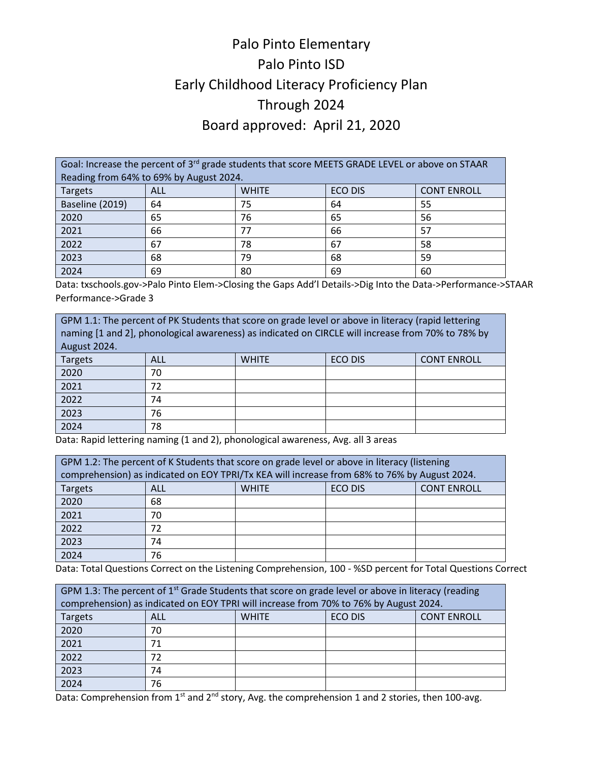## Palo Pinto Elementary Palo Pinto ISD Early Childhood Literacy Proficiency Plan Through 2024 Board approved: April 21, 2020

Goal: Increase the percent of 3<sup>rd</sup> grade students that score MEETS GRADE LEVEL or above on STAAR Reading from 64% to 69% by August 2024. Targets | ALL | WHITE | ECO DIS | CONT ENROLL Baseline (2019) 64 75 64 55 2020 65 76 65 56 2021 66 77 66 57 2022 67 78 67 58 2023 68 79 68 59 2024 69 80 69 60

Data: txschools.gov->Palo Pinto Elem->Closing the Gaps Add'l Details->Dig Into the Data->Performance->STAAR Performance->Grade 3

| GPM 1.1: The percent of PK Students that score on grade level or above in literacy (rapid lettering<br>naming [1 and 2], phonological awareness) as indicated on CIRCLE will increase from 70% to 78% by<br>August 2024. |     |              |                |                    |
|--------------------------------------------------------------------------------------------------------------------------------------------------------------------------------------------------------------------------|-----|--------------|----------------|--------------------|
| <b>Targets</b>                                                                                                                                                                                                           | ALL | <b>WHITE</b> | <b>ECO DIS</b> | <b>CONT ENROLL</b> |
| 2020                                                                                                                                                                                                                     | 70  |              |                |                    |
| 2021                                                                                                                                                                                                                     | 72  |              |                |                    |
| 2022                                                                                                                                                                                                                     | 74  |              |                |                    |
| 2023                                                                                                                                                                                                                     | 76  |              |                |                    |
| 2024                                                                                                                                                                                                                     | 78  |              |                |                    |

Data: Rapid lettering naming (1 and 2), phonological awareness, Avg. all 3 areas

| GPM 1.2: The percent of K Students that score on grade level or above in literacy (listening<br>comprehension) as indicated on EOY TPRI/Tx KEA will increase from 68% to 76% by August 2024. |     |              |                |                    |  |
|----------------------------------------------------------------------------------------------------------------------------------------------------------------------------------------------|-----|--------------|----------------|--------------------|--|
| Targets                                                                                                                                                                                      | ALL | <b>WHITE</b> | <b>ECO DIS</b> | <b>CONT ENROLL</b> |  |
| 2020                                                                                                                                                                                         | 68  |              |                |                    |  |
| 2021                                                                                                                                                                                         | 70  |              |                |                    |  |
| 2022                                                                                                                                                                                         | 72  |              |                |                    |  |
| 2023                                                                                                                                                                                         | 74  |              |                |                    |  |
| 2024                                                                                                                                                                                         | 76  |              |                |                    |  |

Data: Total Questions Correct on the Listening Comprehension, 100 - %SD percent for Total Questions Correct

| GPM 1.3: The percent of 1 <sup>st</sup> Grade Students that score on grade level or above in literacy (reading<br>comprehension) as indicated on EOY TPRI will increase from 70% to 76% by August 2024. |                                                             |  |  |  |
|---------------------------------------------------------------------------------------------------------------------------------------------------------------------------------------------------------|-------------------------------------------------------------|--|--|--|
| <b>Targets</b>                                                                                                                                                                                          | <b>ECO DIS</b><br><b>CONT ENROLL</b><br>ALL<br><b>WHITE</b> |  |  |  |
| 2020                                                                                                                                                                                                    | 70                                                          |  |  |  |
| 2021                                                                                                                                                                                                    | 71                                                          |  |  |  |
| 2022                                                                                                                                                                                                    |                                                             |  |  |  |
| 2023                                                                                                                                                                                                    | 74                                                          |  |  |  |
| 2024                                                                                                                                                                                                    | 76                                                          |  |  |  |

Data: Comprehension from 1<sup>st</sup> and 2<sup>nd</sup> story, Avg. the comprehension 1 and 2 stories, then 100-avg.